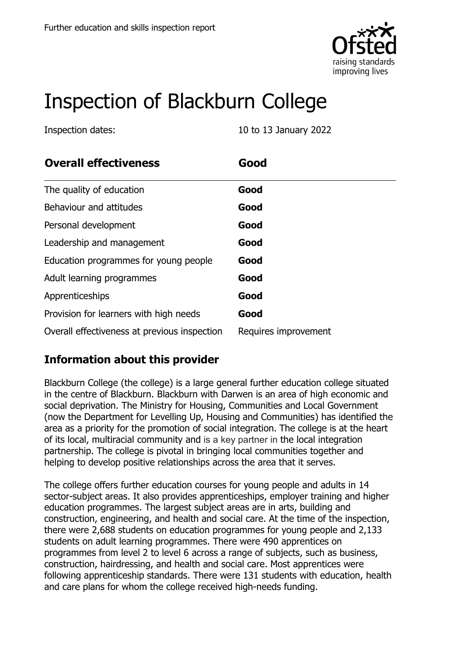

# Inspection of Blackburn College

Inspection dates: 10 to 13 January 2022

| <b>Overall effectiveness</b>                 | Good                 |
|----------------------------------------------|----------------------|
| The quality of education                     | Good                 |
| Behaviour and attitudes                      | Good                 |
| Personal development                         | Good                 |
| Leadership and management                    | Good                 |
| Education programmes for young people        | Good                 |
| Adult learning programmes                    | Good                 |
| Apprenticeships                              | Good                 |
| Provision for learners with high needs       | Good                 |
| Overall effectiveness at previous inspection | Requires improvement |

### **Information about this provider**

Blackburn College (the college) is a large general further education college situated in the centre of Blackburn. Blackburn with Darwen is an area of high economic and social deprivation. The Ministry for Housing, Communities and Local Government (now the Department for Levelling Up, Housing and Communities) has identified the area as a priority for the promotion of social integration. The college is at the heart of its local, multiracial community and is a key partner in the local integration partnership. The college is pivotal in bringing local communities together and helping to develop positive relationships across the area that it serves.

The college offers further education courses for young people and adults in 14 sector-subject areas. It also provides apprenticeships, employer training and higher education programmes. The largest subject areas are in arts, building and construction, engineering, and health and social care. At the time of the inspection, there were 2,688 students on education programmes for young people and 2,133 students on adult learning programmes. There were 490 apprentices on programmes from level 2 to level 6 across a range of subjects, such as business, construction, hairdressing, and health and social care. Most apprentices were following apprenticeship standards. There were 131 students with education, health and care plans for whom the college received high-needs funding.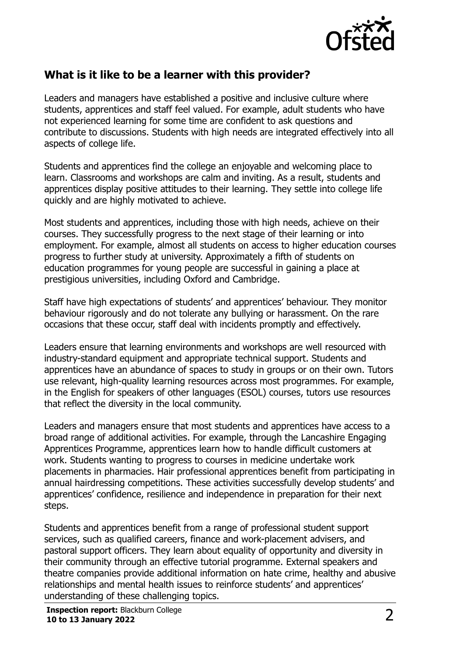

#### **What is it like to be a learner with this provider?**

Leaders and managers have established a positive and inclusive culture where students, apprentices and staff feel valued. For example, adult students who have not experienced learning for some time are confident to ask questions and contribute to discussions. Students with high needs are integrated effectively into all aspects of college life.

Students and apprentices find the college an enjoyable and welcoming place to learn. Classrooms and workshops are calm and inviting. As a result, students and apprentices display positive attitudes to their learning. They settle into college life quickly and are highly motivated to achieve.

Most students and apprentices, including those with high needs, achieve on their courses. They successfully progress to the next stage of their learning or into employment. For example, almost all students on access to higher education courses progress to further study at university. Approximately a fifth of students on education programmes for young people are successful in gaining a place at prestigious universities, including Oxford and Cambridge.

Staff have high expectations of students' and apprentices' behaviour. They monitor behaviour rigorously and do not tolerate any bullying or harassment. On the rare occasions that these occur, staff deal with incidents promptly and effectively.

Leaders ensure that learning environments and workshops are well resourced with industry-standard equipment and appropriate technical support. Students and apprentices have an abundance of spaces to study in groups or on their own. Tutors use relevant, high-quality learning resources across most programmes. For example, in the English for speakers of other languages (ESOL) courses, tutors use resources that reflect the diversity in the local community.

Leaders and managers ensure that most students and apprentices have access to a broad range of additional activities. For example, through the Lancashire Engaging Apprentices Programme, apprentices learn how to handle difficult customers at work. Students wanting to progress to courses in medicine undertake work placements in pharmacies. Hair professional apprentices benefit from participating in annual hairdressing competitions. These activities successfully develop students' and apprentices' confidence, resilience and independence in preparation for their next steps.

Students and apprentices benefit from a range of professional student support services, such as qualified careers, finance and work-placement advisers, and pastoral support officers. They learn about equality of opportunity and diversity in their community through an effective tutorial programme. External speakers and theatre companies provide additional information on hate crime, healthy and abusive relationships and mental health issues to reinforce students' and apprentices' understanding of these challenging topics.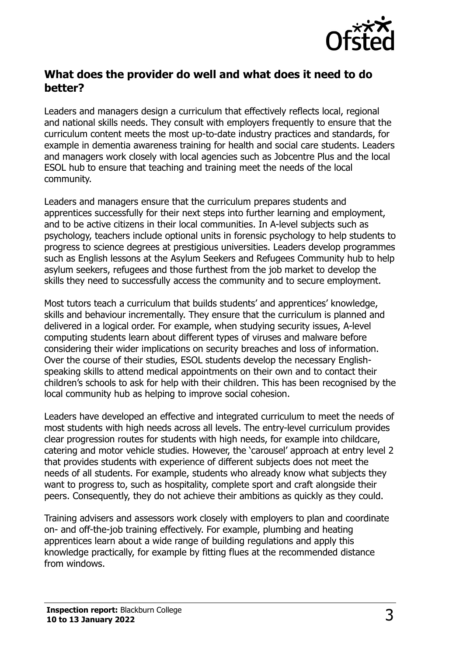

#### **What does the provider do well and what does it need to do better?**

Leaders and managers design a curriculum that effectively reflects local, regional and national skills needs. They consult with employers frequently to ensure that the curriculum content meets the most up-to-date industry practices and standards, for example in dementia awareness training for health and social care students. Leaders and managers work closely with local agencies such as Jobcentre Plus and the local ESOL hub to ensure that teaching and training meet the needs of the local community.

Leaders and managers ensure that the curriculum prepares students and apprentices successfully for their next steps into further learning and employment, and to be active citizens in their local communities. In A-level subjects such as psychology, teachers include optional units in forensic psychology to help students to progress to science degrees at prestigious universities. Leaders develop programmes such as English lessons at the Asylum Seekers and Refugees Community hub to help asylum seekers, refugees and those furthest from the job market to develop the skills they need to successfully access the community and to secure employment.

Most tutors teach a curriculum that builds students' and apprentices' knowledge, skills and behaviour incrementally. They ensure that the curriculum is planned and delivered in a logical order. For example, when studying security issues, A-level computing students learn about different types of viruses and malware before considering their wider implications on security breaches and loss of information. Over the course of their studies, ESOL students develop the necessary Englishspeaking skills to attend medical appointments on their own and to contact their children's schools to ask for help with their children. This has been recognised by the local community hub as helping to improve social cohesion.

Leaders have developed an effective and integrated curriculum to meet the needs of most students with high needs across all levels. The entry-level curriculum provides clear progression routes for students with high needs, for example into childcare, catering and motor vehicle studies. However, the 'carousel' approach at entry level 2 that provides students with experience of different subjects does not meet the needs of all students. For example, students who already know what subjects they want to progress to, such as hospitality, complete sport and craft alongside their peers. Consequently, they do not achieve their ambitions as quickly as they could.

Training advisers and assessors work closely with employers to plan and coordinate on- and off-the-job training effectively. For example, plumbing and heating apprentices learn about a wide range of building regulations and apply this knowledge practically, for example by fitting flues at the recommended distance from windows.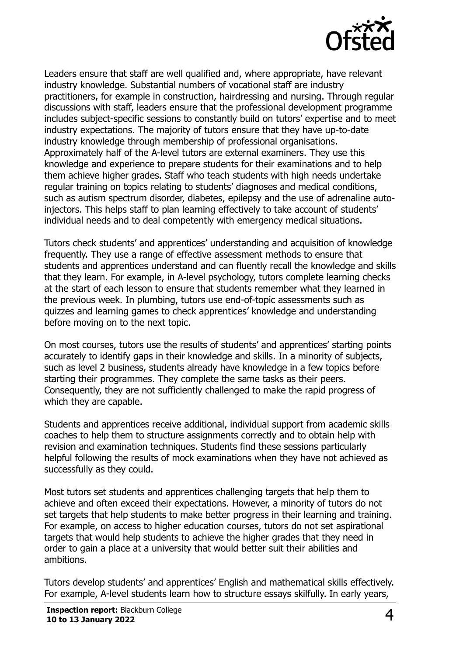

Leaders ensure that staff are well qualified and, where appropriate, have relevant industry knowledge. Substantial numbers of vocational staff are industry practitioners, for example in construction, hairdressing and nursing. Through regular discussions with staff, leaders ensure that the professional development programme includes subject-specific sessions to constantly build on tutors' expertise and to meet industry expectations. The majority of tutors ensure that they have up-to-date industry knowledge through membership of professional organisations. Approximately half of the A-level tutors are external examiners. They use this knowledge and experience to prepare students for their examinations and to help them achieve higher grades. Staff who teach students with high needs undertake regular training on topics relating to students' diagnoses and medical conditions, such as autism spectrum disorder, diabetes, epilepsy and the use of adrenaline autoinjectors. This helps staff to plan learning effectively to take account of students' individual needs and to deal competently with emergency medical situations.

Tutors check students' and apprentices' understanding and acquisition of knowledge frequently. They use a range of effective assessment methods to ensure that students and apprentices understand and can fluently recall the knowledge and skills that they learn. For example, in A-level psychology, tutors complete learning checks at the start of each lesson to ensure that students remember what they learned in the previous week. In plumbing, tutors use end-of-topic assessments such as quizzes and learning games to check apprentices' knowledge and understanding before moving on to the next topic.

On most courses, tutors use the results of students' and apprentices' starting points accurately to identify gaps in their knowledge and skills. In a minority of subjects, such as level 2 business, students already have knowledge in a few topics before starting their programmes. They complete the same tasks as their peers. Consequently, they are not sufficiently challenged to make the rapid progress of which they are capable.

Students and apprentices receive additional, individual support from academic skills coaches to help them to structure assignments correctly and to obtain help with revision and examination techniques. Students find these sessions particularly helpful following the results of mock examinations when they have not achieved as successfully as they could.

Most tutors set students and apprentices challenging targets that help them to achieve and often exceed their expectations. However, a minority of tutors do not set targets that help students to make better progress in their learning and training. For example, on access to higher education courses, tutors do not set aspirational targets that would help students to achieve the higher grades that they need in order to gain a place at a university that would better suit their abilities and ambitions.

Tutors develop students' and apprentices' English and mathematical skills effectively. For example, A-level students learn how to structure essays skilfully. In early years,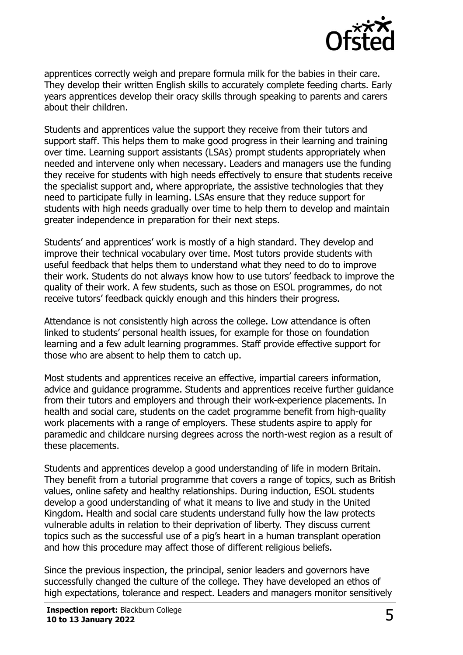

apprentices correctly weigh and prepare formula milk for the babies in their care. They develop their written English skills to accurately complete feeding charts. Early years apprentices develop their oracy skills through speaking to parents and carers about their children.

Students and apprentices value the support they receive from their tutors and support staff. This helps them to make good progress in their learning and training over time. Learning support assistants (LSAs) prompt students appropriately when needed and intervene only when necessary. Leaders and managers use the funding they receive for students with high needs effectively to ensure that students receive the specialist support and, where appropriate, the assistive technologies that they need to participate fully in learning. LSAs ensure that they reduce support for students with high needs gradually over time to help them to develop and maintain greater independence in preparation for their next steps.

Students' and apprentices' work is mostly of a high standard. They develop and improve their technical vocabulary over time. Most tutors provide students with useful feedback that helps them to understand what they need to do to improve their work. Students do not always know how to use tutors' feedback to improve the quality of their work. A few students, such as those on ESOL programmes, do not receive tutors' feedback quickly enough and this hinders their progress.

Attendance is not consistently high across the college. Low attendance is often linked to students' personal health issues, for example for those on foundation learning and a few adult learning programmes. Staff provide effective support for those who are absent to help them to catch up.

Most students and apprentices receive an effective, impartial careers information, advice and guidance programme. Students and apprentices receive further guidance from their tutors and employers and through their work-experience placements. In health and social care, students on the cadet programme benefit from high-quality work placements with a range of employers. These students aspire to apply for paramedic and childcare nursing degrees across the north-west region as a result of these placements.

Students and apprentices develop a good understanding of life in modern Britain. They benefit from a tutorial programme that covers a range of topics, such as British values, online safety and healthy relationships. During induction, ESOL students develop a good understanding of what it means to live and study in the United Kingdom. Health and social care students understand fully how the law protects vulnerable adults in relation to their deprivation of liberty. They discuss current topics such as the successful use of a pig's heart in a human transplant operation and how this procedure may affect those of different religious beliefs.

Since the previous inspection, the principal, senior leaders and governors have successfully changed the culture of the college. They have developed an ethos of high expectations, tolerance and respect. Leaders and managers monitor sensitively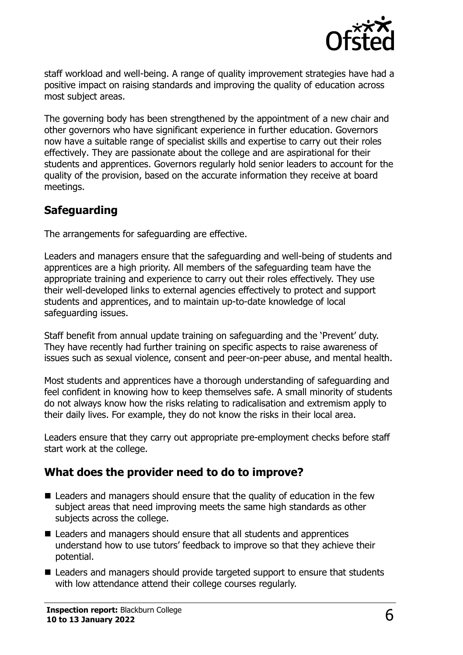

staff workload and well-being. A range of quality improvement strategies have had a positive impact on raising standards and improving the quality of education across most subject areas.

The governing body has been strengthened by the appointment of a new chair and other governors who have significant experience in further education. Governors now have a suitable range of specialist skills and expertise to carry out their roles effectively. They are passionate about the college and are aspirational for their students and apprentices. Governors regularly hold senior leaders to account for the quality of the provision, based on the accurate information they receive at board meetings.

#### **Safeguarding**

The arrangements for safeguarding are effective.

Leaders and managers ensure that the safeguarding and well-being of students and apprentices are a high priority. All members of the safeguarding team have the appropriate training and experience to carry out their roles effectively. They use their well-developed links to external agencies effectively to protect and support students and apprentices, and to maintain up-to-date knowledge of local safeguarding issues.

Staff benefit from annual update training on safeguarding and the 'Prevent' duty. They have recently had further training on specific aspects to raise awareness of issues such as sexual violence, consent and peer-on-peer abuse, and mental health.

Most students and apprentices have a thorough understanding of safeguarding and feel confident in knowing how to keep themselves safe. A small minority of students do not always know how the risks relating to radicalisation and extremism apply to their daily lives. For example, they do not know the risks in their local area.

Leaders ensure that they carry out appropriate pre-employment checks before staff start work at the college.

### **What does the provider need to do to improve?**

- Leaders and managers should ensure that the quality of education in the few subject areas that need improving meets the same high standards as other subjects across the college.
- Leaders and managers should ensure that all students and apprentices understand how to use tutors' feedback to improve so that they achieve their potential.
- Leaders and managers should provide targeted support to ensure that students with low attendance attend their college courses regularly.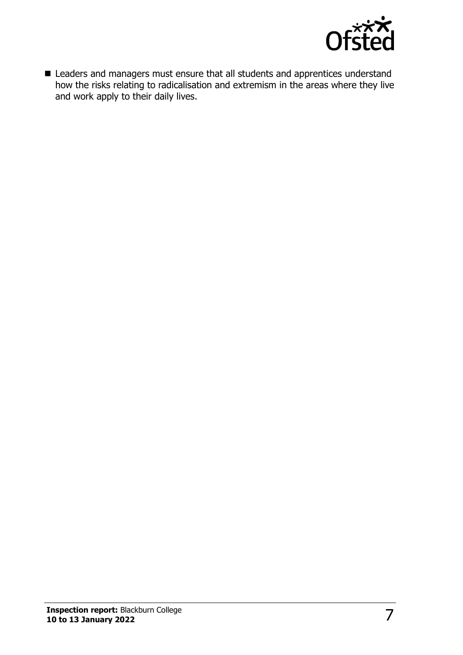

■ Leaders and managers must ensure that all students and apprentices understand how the risks relating to radicalisation and extremism in the areas where they live and work apply to their daily lives.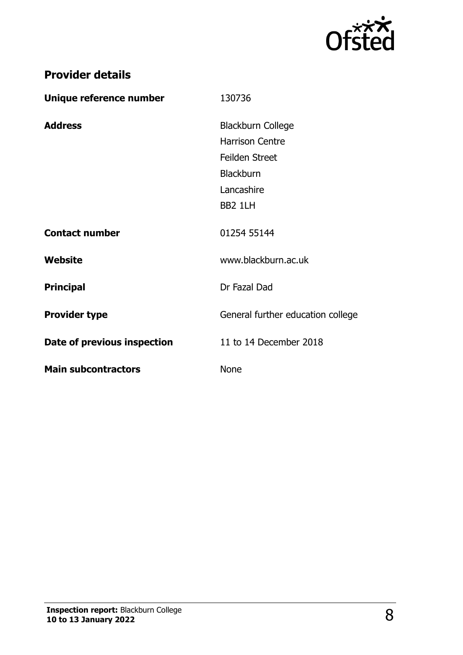

## **Provider details**

| Unique reference number     | 130736                            |
|-----------------------------|-----------------------------------|
| <b>Address</b>              | <b>Blackburn College</b>          |
|                             | <b>Harrison Centre</b>            |
|                             | <b>Feilden Street</b>             |
|                             | <b>Blackburn</b>                  |
|                             | Lancashire                        |
|                             | BB2 1LH                           |
| <b>Contact number</b>       | 01254 55144                       |
| Website                     | www.blackburn.ac.uk               |
| <b>Principal</b>            | Dr Fazal Dad                      |
| <b>Provider type</b>        | General further education college |
| Date of previous inspection | 11 to 14 December 2018            |
| <b>Main subcontractors</b>  | <b>None</b>                       |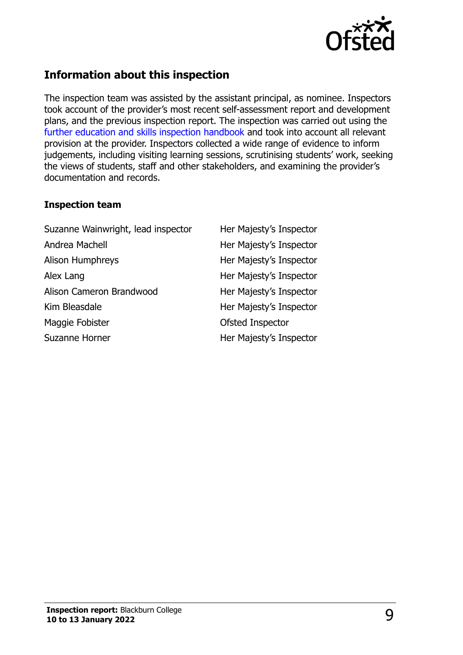

### **Information about this inspection**

The inspection team was assisted by the assistant principal, as nominee. Inspectors took account of the provider's most recent self-assessment report and development plans, and the previous inspection report. The inspection was carried out using the [further education and skills inspection handbook](http://www.gov.uk/government/publications/further-education-and-skills-inspection-handbook-eif) and took into account all relevant provision at the provider. Inspectors collected a wide range of evidence to inform judgements, including visiting learning sessions, scrutinising students' work, seeking the views of students, staff and other stakeholders, and examining the provider's documentation and records.

#### **Inspection team**

| Suzanne Wainwright, lead inspector | Her Majesty's Inspector |
|------------------------------------|-------------------------|
| Andrea Machell                     | Her Majesty's Inspector |
| <b>Alison Humphreys</b>            | Her Majesty's Inspector |
| Alex Lang                          | Her Majesty's Inspector |
| Alison Cameron Brandwood           | Her Majesty's Inspector |
| Kim Bleasdale                      | Her Majesty's Inspector |
| Maggie Fobister                    | Ofsted Inspector        |
| Suzanne Horner                     | Her Majesty's Inspector |